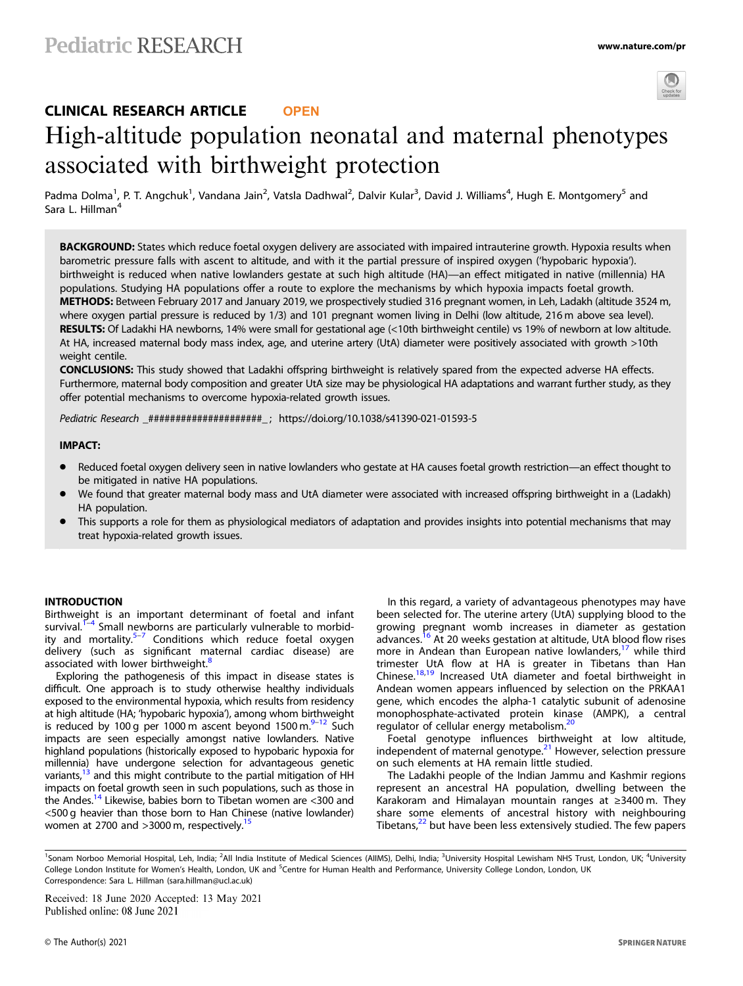

# CLINICAL RESEARCH ARTICLE **OPEN** High-altitude population neonatal and maternal phenotypes associated with birthweight protection

Padma Dolma<sup>1</sup>, P. T. Angchuk<sup>1</sup>, Vandana Jain<sup>2</sup>, Vatsla Dadhwal<sup>2</sup>, Dalvir Kular<sup>3</sup>, David J. Williams<sup>4</sup>, Hugh E. Montgomery<sup>5</sup> and Sara L. Hillman<sup>4</sup>

BACKGROUND: States which reduce foetal oxygen delivery are associated with impaired intrauterine growth. Hypoxia results when barometric pressure falls with ascent to altitude, and with it the partial pressure of inspired oxygen ('hypobaric hypoxia'). birthweight is reduced when native lowlanders gestate at such high altitude (HA)—an effect mitigated in native (millennia) HA populations. Studying HA populations offer a route to explore the mechanisms by which hypoxia impacts foetal growth. METHODS: Between February 2017 and January 2019, we prospectively studied 316 pregnant women, in Leh, Ladakh (altitude 3524 m, where oxygen partial pressure is reduced by 1/3) and 101 pregnant women living in Delhi (low altitude, 216 m above sea level). RESULTS: Of Ladakhi HA newborns, 14% were small for gestational age (<10th birthweight centile) vs 19% of newborn at low altitude. At HA, increased maternal body mass index, age, and uterine artery (UtA) diameter were positively associated with growth >10th weight centile.

CONCLUSIONS: This study showed that Ladakhi offspring birthweight is relatively spared from the expected adverse HA effects. Furthermore, maternal body composition and greater UtA size may be physiological HA adaptations and warrant further study, as they offer potential mechanisms to overcome hypoxia-related growth issues.

Pediatric Research \_#####################\_ ; https://doi.org/10.1038/s41390-021-01593-5

# **IMPACT:**

- Reduced foetal oxygen delivery seen in native lowlanders who gestate at HA causes foetal growth restriction—an effect thought to be mitigated in native HA populations.
- We found that greater maternal body mass and UtA diameter were associated with increased offspring birthweight in a (Ladakh) HA population.
- This supports a role for them as physiological mediators of adaptation and provides insights into potential mechanisms that may treat hypoxia-related growth issues.

## **INTRODUCTION**

Birthweight is an important determinant of foetal and infant survival. $1-4$  $1-4$  $1-4$  Small newborns are particularly vulnerable to morbid-ity and mortality.<sup>[5](#page-5-0)–[7](#page-5-0)</sup> Conditions which reduce foetal oxygen delivery (such as significant maternal cardiac disease) are associated with lower birthweight.<sup>[8](#page-5-0)</sup>

Exploring the pathogenesis of this impact in disease states is difficult. One approach is to study otherwise healthy individuals exposed to the environmental hypoxia, which results from residency at high altitude (HA; 'hypobaric hypoxia'), among whom birthweight is reduced by 100 g per 1000 m ascent beyond 1500 m. $9-12$  $9-12$  Such impacts are seen especially amongst native lowlanders. Native highland populations (historically exposed to hypobaric hypoxia for millennia) have undergone selection for advantageous genetic variants,<sup>[13](#page-5-0)</sup> and this might contribute to the partial mitigation of HH impacts on foetal growth seen in such populations, such as those in the Andes.<sup>14</sup> Likewise, babies born to Tibetan women are <300 and <500 g heavier than those born to Han Chinese (native lowlander) women at 2700 and >3000 m, respectively.<sup>15</sup>

In this regard, a variety of advantageous phenotypes may have been selected for. The uterine artery (UtA) supplying blood to the growing pregnant womb increases in diameter as gestation advances.<sup>[16](#page-5-0)</sup> At 20 weeks gestation at altitude, UtA blood flow rises more in Andean than European native lowlanders, $17$  while third trimester UtA flow at HA is greater in Tibetans than Han Chinese.<sup>18,19</sup> Increased UtA diameter and foetal birthweight in Andean women appears influenced by selection on the PRKAA1 gene, which encodes the alpha-1 catalytic subunit of adenosine monophosphate-activated protein kinase (AMPK), a central regulator of cellular energy metabolism.<sup>[20](#page-5-0)</sup>

Foetal genotype influences birthweight at low altitude, independent of maternal genotype. $21$  However, selection pressure on such elements at HA remain little studied.

The Ladakhi people of the Indian Jammu and Kashmir regions represent an ancestral HA population, dwelling between the Karakoram and Himalayan mountain ranges at ≥3400 m. They share some elements of ancestral history with neighbouring Tibetans, $22$  but have been less extensively studied. The few papers

Received: 18 June 2020 Accepted: 13 May 2021

<sup>&</sup>lt;sup>1</sup>Sonam Norboo Memorial Hospital, Leh, India; <sup>2</sup>All India Institute of Medical Sciences (AllMS), Delhi, India; <sup>3</sup>University Hospital Lewisham NHS Trust, London, UK; <sup>4</sup>University College London Institute for Women's Health, London, UK and <sup>5</sup>Centre for Human Health and Performance, University College London, London, UK Correspondence: Sara L. Hillman ([sara.hillman@ucl.ac.uk\)](mailto:sara.hillman@ucl.ac.uk)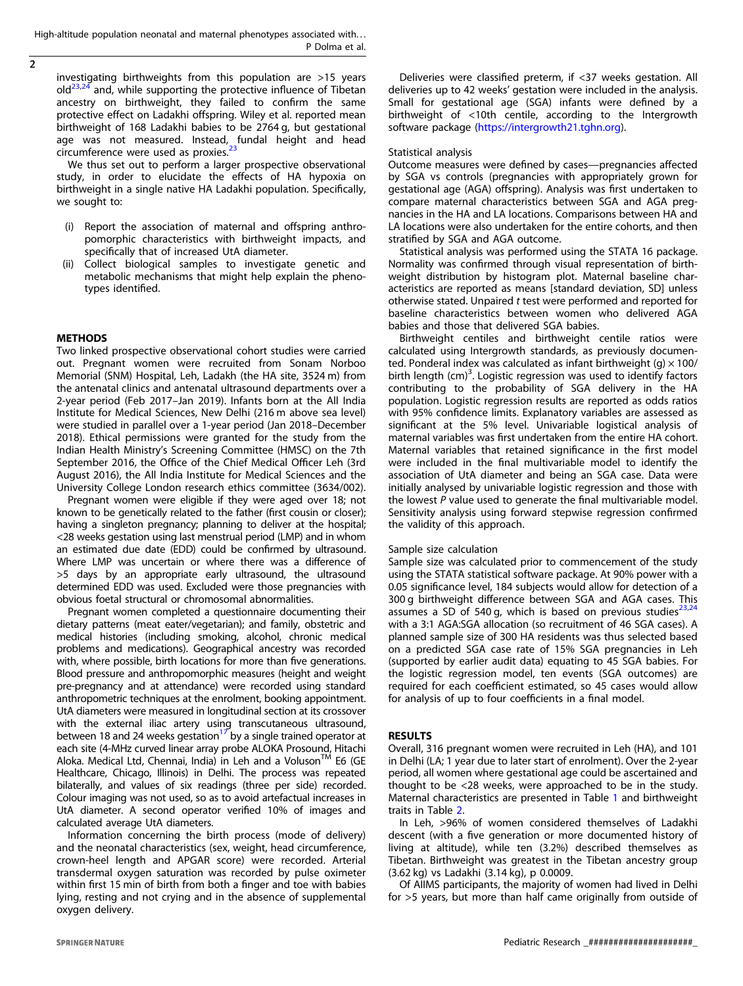High-altitude population neonatal and maternal phenotypes associated with. . . P Dolma et al.

 $\overline{2}$ 

investigating birthweights from this population are >15 years  $old^{23,24}$  and, while supporting the protective influence of Tibetan ancestry on birthweight, they failed to confirm the same protective effect on Ladakhi offspring. Wiley et al. reported mean birthweight of 168 Ladakhi babies to be 2764 g, but gestational age was not measured. Instead, fundal height and head circumference were used as proxies.<sup>2</sup>

We thus set out to perform a larger prospective observational study, in order to elucidate the effects of HA hypoxia on birthweight in a single native HA Ladakhi population. Specifically, we sought to:

- (i) Report the association of maternal and offspring anthropomorphic characteristics with birthweight impacts, and specifically that of increased UtA diameter.
- (ii) Collect biological samples to investigate genetic and metabolic mechanisms that might help explain the phenotypes identified.

# **METHODS**

Two linked prospective observational cohort studies were carried out. Pregnant women were recruited from Sonam Norboo Memorial (SNM) Hospital, Leh, Ladakh (the HA site, 3524 m) from the antenatal clinics and antenatal ultrasound departments over a 2-year period (Feb 2017–Jan 2019). Infants born at the All India Institute for Medical Sciences, New Delhi (216 m above sea level) were studied in parallel over a 1-year period (Jan 2018–December 2018). Ethical permissions were granted for the study from the Indian Health Ministry's Screening Committee (HMSC) on the 7th September 2016, the Office of the Chief Medical Officer Leh (3rd August 2016), the All India Institute for Medical Sciences and the University College London research ethics committee (3634/002).

Pregnant women were eligible if they were aged over 18; not known to be genetically related to the father (first cousin or closer); having a singleton pregnancy; planning to deliver at the hospital; <28 weeks gestation using last menstrual period (LMP) and in whom an estimated due date (EDD) could be confirmed by ultrasound. Where LMP was uncertain or where there was a difference of >5 days by an appropriate early ultrasound, the ultrasound determined EDD was used. Excluded were those pregnancies with obvious foetal structural or chromosomal abnormalities.

Pregnant women completed a questionnaire documenting their dietary patterns (meat eater/vegetarian); and family, obstetric and medical histories (including smoking, alcohol, chronic medical problems and medications). Geographical ancestry was recorded with, where possible, birth locations for more than five generations. Blood pressure and anthropomorphic measures (height and weight pre-pregnancy and at attendance) were recorded using standard anthropometric techniques at the enrolment, booking appointment. UtA diameters were measured in longitudinal section at its crossover with the external iliac artery using transcutaneous ultrasound, between 18 and 24 weeks gestation<sup>[17](#page-5-0)</sup> by a single trained operator at each site (4-MHz curved linear array probe ALOKA Prosound, Hitachi Aloka. Medical Ltd, Chennai, India) in Leh and a Voluson™ E6 (GE Healthcare, Chicago, Illinois) in Delhi. The process was repeated bilaterally, and values of six readings (three per side) recorded. Colour imaging was not used, so as to avoid artefactual increases in UtA diameter. A second operator verified 10% of images and calculated average UtA diameters.

Information concerning the birth process (mode of delivery) and the neonatal characteristics (sex, weight, head circumference, crown-heel length and APGAR score) were recorded. Arterial transdermal oxygen saturation was recorded by pulse oximeter within first 15 min of birth from both a finger and toe with babies lying, resting and not crying and in the absence of supplemental oxygen delivery.

Deliveries were classified preterm, if <37 weeks gestation. All deliveries up to 42 weeks' gestation were included in the analysis. Small for gestational age (SGA) infants were defined by a birthweight of <10th centile, according to the Intergrowth software package [\(https://intergrowth21.tghn.org\)](https://intergrowth21.tghn.org).

### Statistical analysis

Outcome measures were defined by cases—pregnancies affected by SGA vs controls (pregnancies with appropriately grown for gestational age (AGA) offspring). Analysis was first undertaken to compare maternal characteristics between SGA and AGA pregnancies in the HA and LA locations. Comparisons between HA and LA locations were also undertaken for the entire cohorts, and then stratified by SGA and AGA outcome.

Statistical analysis was performed using the STATA 16 package. Normality was confirmed through visual representation of birthweight distribution by histogram plot. Maternal baseline characteristics are reported as means [standard deviation, SD] unless otherwise stated. Unpaired t test were performed and reported for baseline characteristics between women who delivered AGA babies and those that delivered SGA babies.

Birthweight centiles and birthweight centile ratios were calculated using Intergrowth standards, as previously documented. Ponderal index was calculated as infant birthweight  $(q) \times 100/$ birth length (cm)<sup>3</sup>. Logistic regression was used to identify factors contributing to the probability of SGA delivery in the HA population. Logistic regression results are reported as odds ratios with 95% confidence limits. Explanatory variables are assessed as significant at the 5% level. Univariable logistical analysis of maternal variables was first undertaken from the entire HA cohort. Maternal variables that retained significance in the first model were included in the final multivariable model to identify the association of UtA diameter and being an SGA case. Data were initially analysed by univariable logistic regression and those with the lowest P value used to generate the final multivariable model. Sensitivity analysis using forward stepwise regression confirmed the validity of this approach.

# Sample size calculation

Sample size was calculated prior to commencement of the study using the STATA statistical software package. At 90% power with a 0.05 significance level, 184 subjects would allow for detection of a 300 g birthweight difference between SGA and AGA cases. This assumes a SD of 540 g, which is based on previous studies $^{23,24}$  $^{23,24}$  $^{23,24}$  $^{23,24}$  $^{23,24}$ with a 3:1 AGA:SGA allocation (so recruitment of 46 SGA cases). A planned sample size of 300 HA residents was thus selected based on a predicted SGA case rate of 15% SGA pregnancies in Leh (supported by earlier audit data) equating to 45 SGA babies. For the logistic regression model, ten events (SGA outcomes) are required for each coefficient estimated, so 45 cases would allow for analysis of up to four coefficients in a final model.

Overall, 316 pregnant women were recruited in Leh (HA), and 101 in Delhi (LA; 1 year due to later start of enrolment). Over the 2-year period, all women where gestational age could be ascertained and thought to be <28 weeks, were approached to be in the study. Maternal characteristics are presented in Table [1](#page-2-0) and birthweight traits in Table [2.](#page-3-0)

In Leh, >96% of women considered themselves of Ladakhi descent (with a five generation or more documented history of living at altitude), while ten (3.2%) described themselves as Tibetan. Birthweight was greatest in the Tibetan ancestry group (3.62 kg) vs Ladakhi (3.14 kg), p 0.0009.

Of AIIMS participants, the majority of women had lived in Delhi for >5 years, but more than half came originally from outside of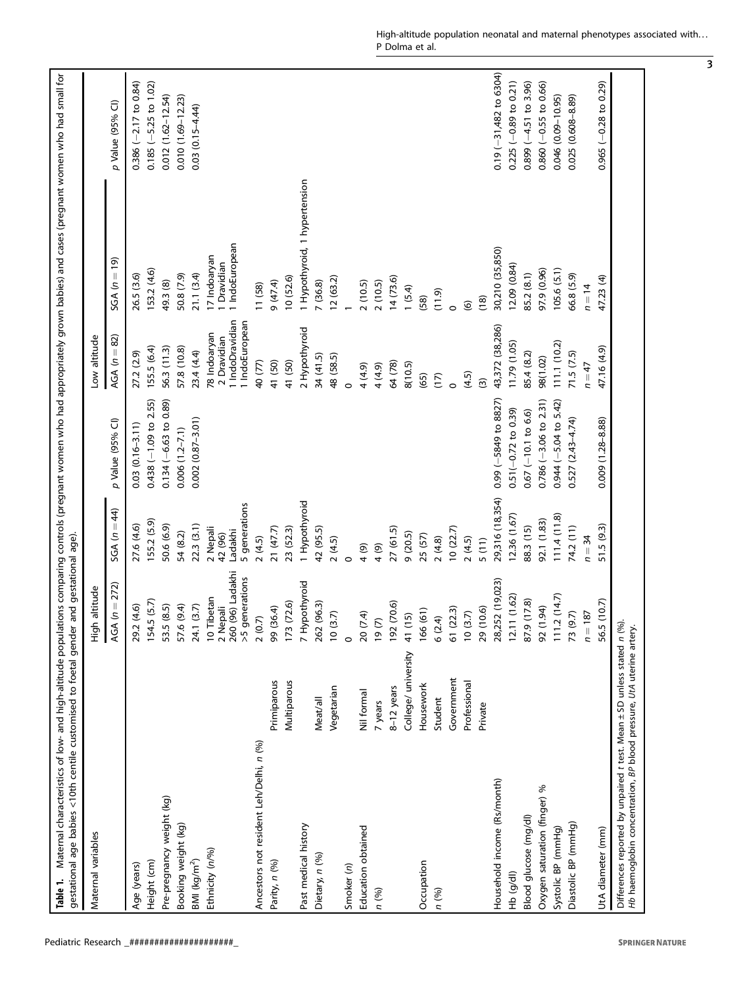<span id="page-2-0"></span>

| gestational age babies <10th centile customised to foetal gender<br>Table 1.                                                                   |                     | and gestational age).                      |                                |                         |                                                                  | Maternal characteristics of low- and high-altitude populations comparing controls (pregnant women who had appropriately grown babies) and cases (pregnant women who had small for |                             |
|------------------------------------------------------------------------------------------------------------------------------------------------|---------------------|--------------------------------------------|--------------------------------|-------------------------|------------------------------------------------------------------|-----------------------------------------------------------------------------------------------------------------------------------------------------------------------------------|-----------------------------|
| Maternal variables                                                                                                                             |                     | altitude<br>승<br>도                         |                                |                         | Low altitude                                                     |                                                                                                                                                                                   |                             |
|                                                                                                                                                |                     | $(n = 272)$<br>AGA                         | $SGA(n = 44)$                  | p Value (95% CI)        | $AGA (n = 82)$                                                   | $SGA(n = 19)$                                                                                                                                                                     | p Value (95% Cl)            |
| Age (years)                                                                                                                                    |                     | (4.6)<br>29.2                              | 27.6 (4.6)                     | $0.03(0.16-3.11)$       | 27.2 (2.9)                                                       | 26.5 (3.6)                                                                                                                                                                        | $0.386 (-2.17)$ to $0.84$ ) |
| Height (cm)                                                                                                                                    |                     | 154.5 (5.7)                                | 155.2 (5.9)                    | $0.438$ (-1.09 to 2.55) | 155.5 (6.4)                                                      | 153.2 (4.6)                                                                                                                                                                       | $0.185 (-5.25$ to $1.02)$   |
| Pre-pregnancy weight (kg)                                                                                                                      |                     | (8.5)<br>53.5                              | 50.6 (6.9)                     | $0.134 (-6.63 to 0.89)$ | 56.3 (11.3)                                                      | 49.3 (8)                                                                                                                                                                          | $0.012(1.62 - 12.54)$       |
| Booking weight (kg)                                                                                                                            |                     | (9.4)<br>57.6                              | 54 (8.2)                       | $0.006(1.2 - 7.1)$      | 57.8 (10.8)                                                      | 50.8 (7.9)                                                                                                                                                                        | 0.010 (1.69-12.23)          |
| $BMI$ (kg/m <sup>2</sup> )                                                                                                                     |                     | (3.7)<br>24.1                              | 22.3(3.1)                      | $0.002(0.87 - 3.01)$    | 23.4 (4.4)                                                       | 21.1(3.4)                                                                                                                                                                         | $0.03(0.15 - 4.44)$         |
| Ethnicity (n/%)                                                                                                                                |                     | 260 (96) Ladakhi<br>10 Tibetan<br>2 Nepali | 2 Nepali<br>Ladakhi<br>42 (96) |                         | 1 IndoDravidian<br>1 IndoEuropean<br>78 Indoaryan<br>2 Dravidian | 1 IndoEuropean<br>17 Indoaryan<br>1 Dravidian                                                                                                                                     |                             |
| Ancestors not resident Leh/Delhi, n (%)                                                                                                        |                     | >5 generations<br>2(0.7)                   | 5 generations<br>2(4.5)        |                         | 40 (77)                                                          | 11 (58)                                                                                                                                                                           |                             |
| Parity, n (%)                                                                                                                                  | Primiparous         | 99 (36.4)                                  | 21(47.7)                       |                         | 41 (50)                                                          | (47.4)                                                                                                                                                                            |                             |
|                                                                                                                                                | Multiparous         | 173 (72.6)                                 | 23 (52.3)                      |                         | 41 (50)                                                          | 10 (52.6)                                                                                                                                                                         |                             |
| Past medical history                                                                                                                           |                     | 7 Hypothyroid                              | 1 Hypothyroid                  |                         | 2 Hypothyroid                                                    | 1 Hypothyroid, 1 hypertension                                                                                                                                                     |                             |
| Dietary, n (%)                                                                                                                                 | Meat/all            | (96.3)<br>262                              | 42 (95.5)                      |                         | 34 (41.5)                                                        | 7 (36.8)                                                                                                                                                                          |                             |
|                                                                                                                                                | Vegetarian          | 10(3.7)                                    | 2(4.5)                         |                         | 48 (58.5)                                                        | 12(63.2)                                                                                                                                                                          |                             |
| Smoker (n)                                                                                                                                     |                     | $\circ$                                    | $\circ$                        |                         | $\circ$                                                          |                                                                                                                                                                                   |                             |
| Education obtained                                                                                                                             | Nil formal          | <u>ंद</u><br>207                           | (6)                            |                         | 4 (4.9)                                                          | 2(10.5)                                                                                                                                                                           |                             |
| n (%)                                                                                                                                          | 7 years             | $(2)$ 61                                   | (6)                            |                         | 4 (4.9)                                                          | 2(10.5)                                                                                                                                                                           |                             |
|                                                                                                                                                | $8-12$ years        | 192 (70.6)                                 | 27(61.5)                       |                         | 64 (78)                                                          | 14(73.6)                                                                                                                                                                          |                             |
|                                                                                                                                                | College/ university | 41 (15)                                    | 9(20.5)                        |                         | 8(10.5)                                                          | 1 (5.4)                                                                                                                                                                           |                             |
| Occupation                                                                                                                                     | Housework           | 166(61)                                    | 25 (57)                        |                         | (65)                                                             | (58)                                                                                                                                                                              |                             |
| n (%)                                                                                                                                          | Student             | 6(2.4)                                     | 2(4.8)                         |                         | (17)                                                             | (11.9)                                                                                                                                                                            |                             |
|                                                                                                                                                | Government          | 61 (22.3)                                  | 10(22.7)                       |                         | $\circ$                                                          | $\circ$                                                                                                                                                                           |                             |
|                                                                                                                                                | Professional        | 10(3.7)                                    | 2(4.5)                         |                         | (4.5)                                                            | $\widehat{\mathfrak{G}}$                                                                                                                                                          |                             |
|                                                                                                                                                | Private             | 29 (10.6)                                  | 5(11)                          |                         | $\widehat{\mathcal{L}}$                                          | (18)                                                                                                                                                                              |                             |
| Household income (Rs/month)                                                                                                                    |                     | 28,252 (19,023)                            | 29,316 (18,354)                | $0.99$ (-5849 to 8827)  | 43,372 (38,286)                                                  | 30,210 (35,850)                                                                                                                                                                   | $0.19 (-31,482$ to 6304)    |
| Hb (g/dl)                                                                                                                                      |                     | 12.11(1.62)                                | 12.36 (1.67)                   | $0.51(-0.72$ to 0.39)   | 11.79 (1.05)                                                     | 12.09 (0.84)                                                                                                                                                                      | $0.225 (-0.89$ to $0.21)$   |
| Blood glucose (mg/dl)                                                                                                                          |                     | 87.9 (17.8)                                | 88.3 (15)                      | $0.67$ (-10.1 to 6.6)   | 85.4 (8.2)                                                       | 85.2 (8.1)                                                                                                                                                                        | $0.899 (-4.51 to 3.96)$     |
| Oxygen saturation (finger) %                                                                                                                   |                     | 92 (1.94)                                  | 92.1 (1.83)                    | $0.786 (-3.06 to 2.31)$ | 98(1.02)                                                         | 97.9 (0.96)                                                                                                                                                                       | $0.860 (-0.55 to 0.66)$     |
| Systolic BP (mmHg)                                                                                                                             |                     | 111.2(14.7)                                | 11.4(11.8)                     | $0.944 (-5.04 to 5.42)$ | (11.1)(10.2)                                                     | 105.6 (5.1)                                                                                                                                                                       | 0.046 (0.09-10.95)          |
| Diastolic BP (mmHg)                                                                                                                            |                     | 73 (9.7)                                   | 74.2 (11)                      | $0.527(2.43 - 4.74)$    | 71.5(7.5)                                                        | 66.8 (5.9)                                                                                                                                                                        | 0.025 (0.608-8.89)          |
|                                                                                                                                                |                     | $n = 187$                                  | $n = 34$                       |                         | $n = 47$                                                         | $n = 14$                                                                                                                                                                          |                             |
| UtA diameter (mm)                                                                                                                              |                     | 56.5 (10.7)                                | 51.5 (9.3)                     | $0.009(1.28 - 8.88)$    | 47.16 (4.9)                                                      | 47.23 (4)                                                                                                                                                                         | $0.965 (-0.28 to 0.29)$     |
| Differences reported by unpaired t test. Mean ± SD unless stated n (%)<br>Hb haemoglobin concentration, BP blood pressure, UtA uterine artery. |                     |                                            |                                |                         |                                                                  |                                                                                                                                                                                   |                             |

3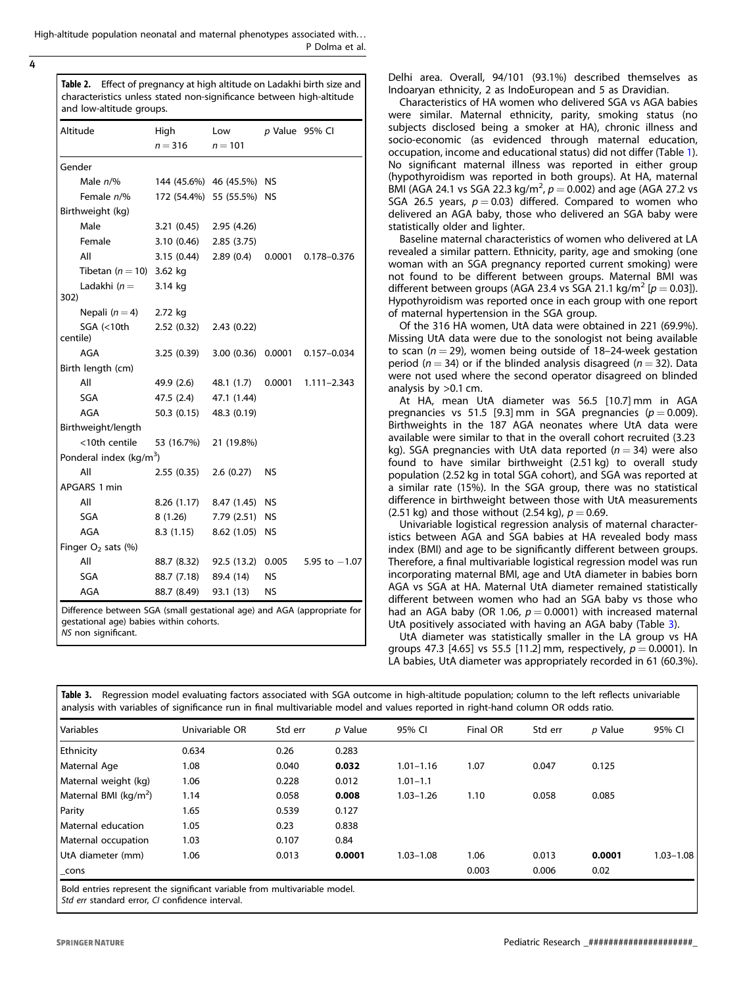<span id="page-3-0"></span>High-altitude population neonatal and maternal phenotypes associated with. . . P Dolma et al.

4

| Table 2. Effect of pregnancy at high altitude on Ladakhi birth size and |
|-------------------------------------------------------------------------|
| characteristics unless stated non-significance between high-altitude    |
| and low-altitude groups.                                                |

| Altitude                                                                | High<br>$n = 316$         | Low<br>$n = 101$   | p Value 95% Cl |                 |
|-------------------------------------------------------------------------|---------------------------|--------------------|----------------|-----------------|
| Gender                                                                  |                           |                    |                |                 |
| Male $n\frac{9}{6}$                                                     | 144 (45.6%) 46 (45.5%) NS |                    |                |                 |
| Female n/%                                                              | 172 (54.4%) 55 (55.5%) NS |                    |                |                 |
| Birthweight (kg)                                                        |                           |                    |                |                 |
| Male                                                                    | 3.21(0.45)                | 2.95 (4.26)        |                |                 |
| Female                                                                  | $3.10(0.46)$ $2.85(3.75)$ |                    |                |                 |
| All                                                                     | 3.15 (0.44)               | $2.89(0.4)$ 0.0001 |                | 0.178-0.376     |
| Tibetan $(n = 10)$ 3.62 kg                                              |                           |                    |                |                 |
| Ladakhi ( $n =$<br>302)                                                 | 3.14 kg                   |                    |                |                 |
| Nepali $(n=4)$                                                          | 2.72 kg                   |                    |                |                 |
| SGA (<10th<br>centile)                                                  | 2.52(0.32)                | 2.43(0.22)         |                |                 |
| AGA                                                                     | 3.25(0.39)                | 3.00(0.36)         | 0.0001         | 0.157-0.034     |
| Birth length (cm)                                                       |                           |                    |                |                 |
| All                                                                     | 49.9 (2.6)                | 48.1 (1.7)         | 0.0001         | $1.111 - 2.343$ |
| <b>SGA</b>                                                              | 47.5 (2.4)                | 47.1 (1.44)        |                |                 |
| <b>AGA</b>                                                              | 50.3 (0.15)               | 48.3 (0.19)        |                |                 |
| Birthweight/length                                                      |                           |                    |                |                 |
| <10th centile                                                           | 53 (16.7%)                | 21 (19.8%)         |                |                 |
| Ponderal index (kg/m <sup>3</sup> )                                     |                           |                    |                |                 |
| All                                                                     | 2.55 (0.35)               | 2.6(0.27)          | NS             |                 |
| APGARS 1 min                                                            |                           |                    |                |                 |
| All                                                                     | 8.26 (1.17)               | 8.47 (1.45) NS     |                |                 |
| SGA                                                                     | 8 (1.26)                  | 7.79 (2.51) NS     |                |                 |
| <b>AGA</b>                                                              | 8.3(1.15)                 | 8.62 (1.05)        | NS             |                 |
| Finger $O2$ sats (%)                                                    |                           |                    |                |                 |
| All                                                                     | 88.7 (8.32)               | 92.5 (13.2)        | 0.005          | 5.95 to $-1.07$ |
| SGA                                                                     | 88.7 (7.18)               | 89.4 (14)          | NS             |                 |
| <b>AGA</b>                                                              | 88.7 (8.49)               | 93.1 (13)          | NS             |                 |
| Difference between SGA (small gestational age) and AGA (appropriate for |                           |                    |                |                 |

gestational age) babies within cohorts. NS non significant.

Delhi area. Overall, 94/101 (93.1%) described themselves as Indoaryan ethnicity, 2 as IndoEuropean and 5 as Dravidian.

Characteristics of HA women who delivered SGA vs AGA babies were similar. Maternal ethnicity, parity, smoking status (no subjects disclosed being a smoker at HA), chronic illness and socio-economic (as evidenced through maternal education, occupation, income and educational status) did not differ (Table [1](#page-2-0)). No significant maternal illness was reported in either group (hypothyroidism was reported in both groups). At HA, maternal BMI (AGA 24.1 vs SGA 22.3 kg/m<sup>2</sup>,  $p = 0.002$ ) and age (AGA 27.2 vs SGA 26.5 years,  $p = 0.03$ ) differed. Compared to women who delivered an AGA baby, those who delivered an SGA baby were statistically older and lighter.

Baseline maternal characteristics of women who delivered at LA revealed a similar pattern. Ethnicity, parity, age and smoking (one woman with an SGA pregnancy reported current smoking) were not found to be different between groups. Maternal BMI was different between groups (AGA 23.4 vs SGA 21.1 kg/m<sup>2</sup> [ $p = 0.03$ ]). Hypothyroidism was reported once in each group with one report of maternal hypertension in the SGA group.

Of the 316 HA women, UtA data were obtained in 221 (69.9%). Missing UtA data were due to the sonologist not being available to scan ( $n = 29$ ), women being outside of 18–24-week gestation period ( $n = 34$ ) or if the blinded analysis disagreed ( $n = 32$ ). Data were not used where the second operator disagreed on blinded analysis by >0.1 cm.

At HA, mean UtA diameter was 56.5 [10.7] mm in AGA pregnancies vs 51.5 [9.3] mm in SGA pregnancies ( $p = 0.009$ ). Birthweights in the 187 AGA neonates where UtA data were available were similar to that in the overall cohort recruited (3.23 kg). SGA pregnancies with UtA data reported ( $n = 34$ ) were also found to have similar birthweight (2.51 kg) to overall study population (2.52 kg in total SGA cohort), and SGA was reported at a similar rate (15%). In the SGA group, there was no statistical difference in birthweight between those with UtA measurements (2.51 kg) and those without (2.54 kg),  $p = 0.69$ .

Univariable logistical regression analysis of maternal characteristics between AGA and SGA babies at HA revealed body mass index (BMI) and age to be significantly different between groups. Therefore, a final multivariable logistical regression model was run incorporating maternal BMI, age and UtA diameter in babies born AGA vs SGA at HA. Maternal UtA diameter remained statistically different between women who had an SGA baby vs those who had an AGA baby (OR 1.06,  $p = 0.0001$ ) with increased maternal UtA positively associated with having an AGA baby (Table 3).

UtA diameter was statistically smaller in the LA group vs HA groups 47.3 [4.65] vs 55.5 [11.2] mm, respectively,  $p = 0.0001$ ). In LA babies, UtA diameter was appropriately recorded in 61 (60.3%).

| l Variables                       | Univariable OR | Std err | p Value | 95% CI        | Final OR | Std err | p Value | 95% CI        |
|-----------------------------------|----------------|---------|---------|---------------|----------|---------|---------|---------------|
| <b>Ethnicity</b>                  | 0.634          | 0.26    | 0.283   |               |          |         |         |               |
| Maternal Age                      | 1.08           | 0.040   | 0.032   | $1.01 - 1.16$ | 1.07     | 0.047   | 0.125   |               |
| Maternal weight (kg)              | 1.06           | 0.228   | 0.012   | $1.01 - 1.1$  |          |         |         |               |
| Maternal BMI (kg/m <sup>2</sup> ) | 1.14           | 0.058   | 0.008   | $1.03 - 1.26$ | 1.10     | 0.058   | 0.085   |               |
| Parity                            | 1.65           | 0.539   | 0.127   |               |          |         |         |               |
| Maternal education                | 1.05           | 0.23    | 0.838   |               |          |         |         |               |
| Maternal occupation               | 1.03           | 0.107   | 0.84    |               |          |         |         |               |
| UtA diameter (mm)                 | 1.06           | 0.013   | 0.0001  | $1.03 - 1.08$ | 1.06     | 0.013   | 0.0001  | $1.03 - 1.08$ |
| cons                              |                |         |         |               | 0.003    | 0.006   | 0.02    |               |

Std err standard error, CI confidence interval.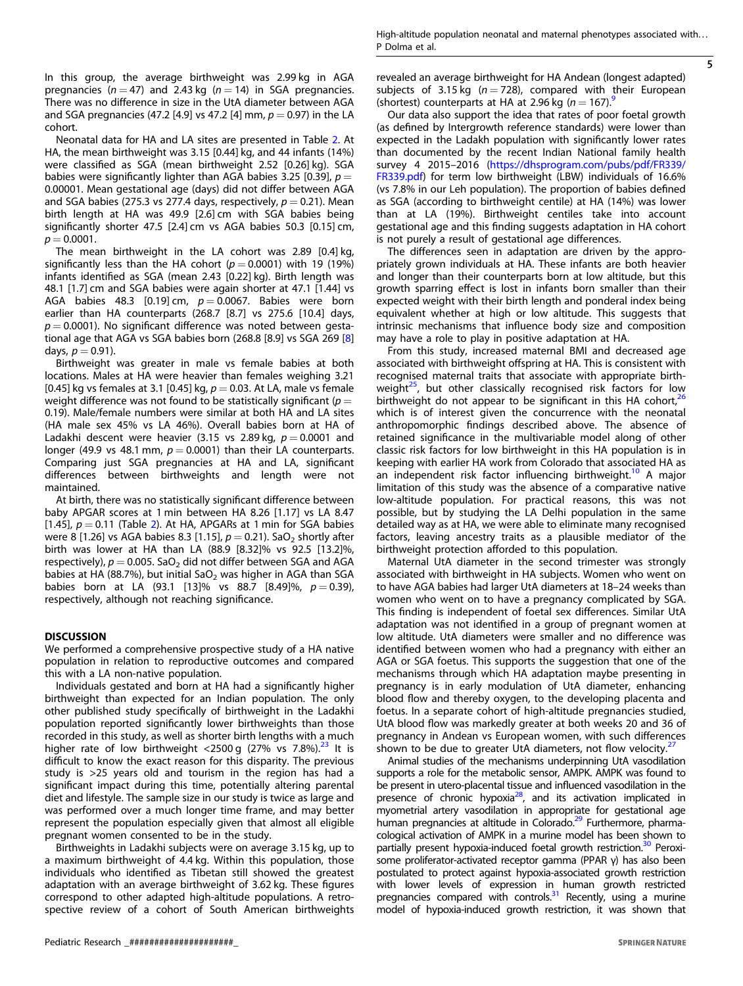5

In this group, the average birthweight was 2.99 kg in AGA pregnancies ( $n = 47$ ) and 2.43 kg ( $n = 14$ ) in SGA pregnancies. There was no difference in size in the UtA diameter between AGA and SGA pregnancies (47.2 [4.9] vs 47.2 [4] mm,  $p = 0.97$ ) in the LA cohort.

Neonatal data for HA and LA sites are presented in Table [2.](#page-3-0) At HA, the mean birthweight was 3.15 [0.44] kg, and 44 infants (14%) were classified as SGA (mean birthweight 2.52 [0.26] kg). SGA babies were significantly lighter than AGA babies 3.25 [0.39],  $p =$ 0.00001. Mean gestational age (days) did not differ between AGA and SGA babies (275.3 vs 277.4 days, respectively,  $p = 0.21$ ). Mean birth length at HA was 49.9 [2.6] cm with SGA babies being significantly shorter 47.5 [2.4] cm vs AGA babies 50.3 [0.15] cm,  $p = 0.0001$ .

The mean birthweight in the LA cohort was 2.89 [0.4] kg, significantly less than the HA cohort ( $p = 0.0001$ ) with 19 (19%) infants identified as SGA (mean 2.43 [0.22] kg). Birth length was 48.1 [1.7] cm and SGA babies were again shorter at 47.1 [1.44] vs AGA babies 48.3 [0.19] cm,  $p = 0.0067$ . Babies were born earlier than HA counterparts (268.7 [8.7] vs 275.6 [10.4] days,  $p = 0.0001$ ). No significant difference was noted between gestational age that AGA vs SGA babies born (268.8 [8.9] vs SGA 269 [[8](#page-5-0)] days,  $p = 0.91$ ).

Birthweight was greater in male vs female babies at both locations. Males at HA were heavier than females weighing 3.21 [0.45] kg vs females at 3.1 [0.45] kg,  $p = 0.03$ . At LA, male vs female weight difference was not found to be statistically significant ( $p =$ 0.19). Male/female numbers were similar at both HA and LA sites (HA male sex 45% vs LA 46%). Overall babies born at HA of Ladakhi descent were heavier (3.15 vs 2.89 kg,  $p = 0.0001$  and longer (49.9 vs 48.1 mm,  $p = 0.0001$ ) than their LA counterparts. Comparing just SGA pregnancies at HA and LA, significant differences between birthweights and length were not maintained.

At birth, there was no statistically significant difference between baby APGAR scores at 1 min between HA 8.26 [1.17] vs LA 8.47 [1.45],  $p = 0.11$  (Table [2](#page-3-0)). At HA, APGARs at 1 min for SGA babies were 8 [1.26] vs AGA babies 8.3 [1.15],  $p = 0.21$ ). SaO<sub>2</sub> shortly after birth was lower at HA than LA (88.9 [8.32]% vs 92.5 [13.2]%, respectively),  $p = 0.005$ . SaO<sub>2</sub> did not differ between SGA and AGA babies at HA (88.7%), but initial SaO<sub>2</sub> was higher in AGA than SGA babies born at LA (93.1 [13]% vs 88.7 [8.49]%,  $p = 0.39$ ), respectively, although not reaching significance.

DISCUSSION We performed a comprehensive prospective study of a HA native population in relation to reproductive outcomes and compared this with a LA non-native population.

Individuals gestated and born at HA had a significantly higher birthweight than expected for an Indian population. The only other published study specifically of birthweight in the Ladakhi population reported significantly lower birthweights than those recorded in this study, as well as shorter birth lengths with a much higher rate of low birthweight <2500 g  $(27\% \text{ vs } 7.8\%)$ .<sup>[23](#page-5-0)</sup> It is difficult to know the exact reason for this disparity. The previous study is >25 years old and tourism in the region has had a significant impact during this time, potentially altering parental diet and lifestyle. The sample size in our study is twice as large and was performed over a much longer time frame, and may better represent the population especially given that almost all eligible pregnant women consented to be in the study.

Birthweights in Ladakhi subjects were on average 3.15 kg, up to a maximum birthweight of 4.4 kg. Within this population, those individuals who identified as Tibetan still showed the greatest adaptation with an average birthweight of 3.62 kg. These figures correspond to other adapted high-altitude populations. A retrospective review of a cohort of South American birthweights

revealed an average birthweight for HA Andean (longest adapted) subjects of 3.15 kg ( $n = 728$ ), compared with their European (shortest) counterparts at HA at 2.[9](#page-5-0)6 kg ( $n = 167$ ).

Our data also support the idea that rates of poor foetal growth (as defined by Intergrowth reference standards) were lower than expected in the Ladakh population with significantly lower rates than documented by the recent Indian National family health survey 4 2015–2016 ([https://dhsprogram.com/pubs/pdf/FR339/](https://dhsprogram.com/pubs/pdf/FR339/FR339.pdf) [FR339.pdf](https://dhsprogram.com/pubs/pdf/FR339/FR339.pdf)) for term low birthweight (LBW) individuals of 16.6% (vs 7.8% in our Leh population). The proportion of babies defined as SGA (according to birthweight centile) at HA (14%) was lower than at LA (19%). Birthweight centiles take into account gestational age and this finding suggests adaptation in HA cohort is not purely a result of gestational age differences.

The differences seen in adaptation are driven by the appropriately grown individuals at HA. These infants are both heavier and longer than their counterparts born at low altitude, but this growth sparring effect is lost in infants born smaller than their expected weight with their birth length and ponderal index being equivalent whether at high or low altitude. This suggests that intrinsic mechanisms that influence body size and composition may have a role to play in positive adaptation at HA.

From this study, increased maternal BMI and decreased age associated with birthweight offspring at HA. This is consistent with recognised maternal traits that associate with appropriate birthweight $25$ , but other classically recognised risk factors for low birthweight do not appear to be significant in this HA cohort,<sup>2</sup> which is of interest given the concurrence with the neonatal anthropomorphic findings described above. The absence of retained significance in the multivariable model along of other classic risk factors for low birthweight in this HA population is in keeping with earlier HA work from Colorado that associated HA as an independent risk factor influencing birthweight.<sup>[10](#page-5-0)</sup> A major limitation of this study was the absence of a comparative native low-altitude population. For practical reasons, this was not possible, but by studying the LA Delhi population in the same detailed way as at HA, we were able to eliminate many recognised factors, leaving ancestry traits as a plausible mediator of the birthweight protection afforded to this population.

Maternal UtA diameter in the second trimester was strongly associated with birthweight in HA subjects. Women who went on to have AGA babies had larger UtA diameters at 18–24 weeks than women who went on to have a pregnancy complicated by SGA. This finding is independent of foetal sex differences. Similar UtA adaptation was not identified in a group of pregnant women at low altitude. UtA diameters were smaller and no difference was identified between women who had a pregnancy with either an AGA or SGA foetus. This supports the suggestion that one of the mechanisms through which HA adaptation maybe presenting in pregnancy is in early modulation of UtA diameter, enhancing blood flow and thereby oxygen, to the developing placenta and foetus. In a separate cohort of high-altitude pregnancies studied, UtA blood flow was markedly greater at both weeks 20 and 36 of pregnancy in Andean vs European women, with such differences shown to be due to greater UtA diameters, not flow velocity. $2<sup>2</sup>$ 

Animal studies of the mechanisms underpinning UtA vasodilation supports a role for the metabolic sensor, AMPK. AMPK was found to be present in utero-placental tissue and influenced vasodilation in the presence of chronic hypoxia<sup>[28](#page-5-0)</sup>, and its activation implicated in myometrial artery vasodilation in appropriate for gestational age human pregnancies at altitude in Colorado.<sup>[29](#page-5-0)</sup> Furthermore, pharmacological activation of AMPK in a murine model has been shown to partially present hypoxia-induced foetal growth restriction.<sup>30</sup> Peroxisome proliferator-activated receptor gamma (PPAR γ) has also been postulated to protect against hypoxia-associated growth restriction with lower levels of expression in human growth restricted pregnancies compared with controls. $31$  Recently, using a murine model of hypoxia-induced growth restriction, it was shown that